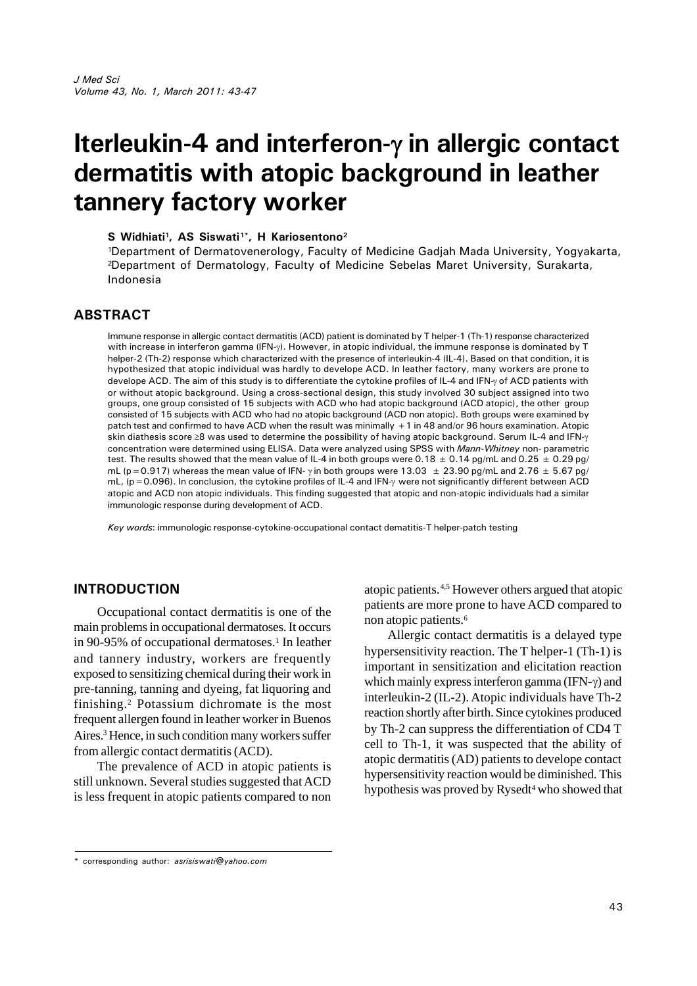# **Iterleukin-4 and interferon-in allergic contact dermatitis with atopic background in leather tannery factory worker**

**S Widhiati<sup>1</sup> , AS Siswati1\*, H Kariosentono<sup>2</sup>**

<sup>1</sup>Department of Dermatovenerology, Faculty of Medicine Gadjah Mada University, Yogyakarta, <sup>2</sup>Department of Dermatology, Faculty of Medicine Sebelas Maret University, Surakarta, Indonesia

## **ABSTRACT**

Immune response in allergic contact dermatitis (ACD) patient is dominated by T helper-1 (Th-1) response characterized with increase in interferon gamma (IFN- $\gamma$ ). However, in atopic individual, the immune response is dominated by T helper-2 (Th-2) response which characterized with the presence of interleukin-4 (IL-4). Based on that condition, it is hypothesized that atopic individual was hardly to develope ACD. In leather factory, many workers are prone to develope ACD. The aim of this study is to differentiate the cytokine profiles of IL-4 and IFN- $\gamma$  of ACD patients with or without atopic background. Using a cross-sectional design, this study involved 30 subject assigned into two groups, one group consisted of 15 subjects with ACD who had atopic background (ACD atopic), the other group consisted of 15 subjects with ACD who had no atopic background (ACD non atopic). Both groups were examined by patch test and confirmed to have ACD when the result was minimally +1 in 48 and/or 96 hours examination. Atopic skin diathesis score  $\geq 8$  was used to determine the possibility of having atopic background. Serum IL-4 and IFN- $\gamma$ concentration were determined using ELISA. Data were analyzed using SPSS with *Mann-Whitney* non- parametric test. The results showed that the mean value of IL-4 in both groups were  $0.18 \pm 0.14$  pg/mL and  $0.25 \pm 0.29$  pg/ mL (p=0.917) whereas the mean value of IFN-  $\gamma$  in both groups were 13.03  $\pm$  23.90 pg/mL and 2.76  $\pm$  5.67 pg/ mL, ( $p = 0.096$ ). In conclusion, the cytokine profiles of IL-4 and IFN- $\gamma$  were not significantly different between ACD atopic and ACD non atopic individuals. This finding suggested that atopic and non-atopic individuals had a similar immunologic response during development of ACD.

*Key words*: immunologic response-cytokine-occupational contact dematitis-T helper-patch testing

## **INTRODUCTION**

Occupational contact dermatitis is one of the main problems in occupational dermatoses. It occurs in 90-95% of occupational dermatoses.<sup>1</sup> In leather and tannery industry, workers are frequently exposed to sensitizing chemical during their work in pre-tanning, tanning and dyeing, fat liquoring and finishing.<sup>2</sup> Potassium dichromate is the most frequent allergen found in leather worker in Buenos Aires.<sup>3</sup> Hence, in such condition many workers suffer from allergic contact dermatitis (ACD).

The prevalence of ACD in atopic patients is still unknown. Several studies suggested that ACD is less frequent in atopic patients compared to non atopic patients.4,5 However others argued that atopic patients are more prone to have ACD compared to non atopic patients.<sup>6</sup>

Allergic contact dermatitis is a delayed type hypersensitivity reaction. The T helper-1 (Th-1) is important in sensitization and elicitation reaction which mainly express interferon gamma (IFN- $\gamma$ ) and interleukin-2 (IL-2). Atopic individuals have Th-2 reaction shortly after birth. Since cytokines produced by Th-2 can suppress the differentiation of CD4 T cell to Th-1, it was suspected that the ability of atopic dermatitis (AD) patients to develope contact hypersensitivity reaction would be diminished. This hypothesis was proved by Rysedt<sup>4</sup> who showed that

<sup>\*</sup> corresponding author: *asrisiswati@yahoo.com*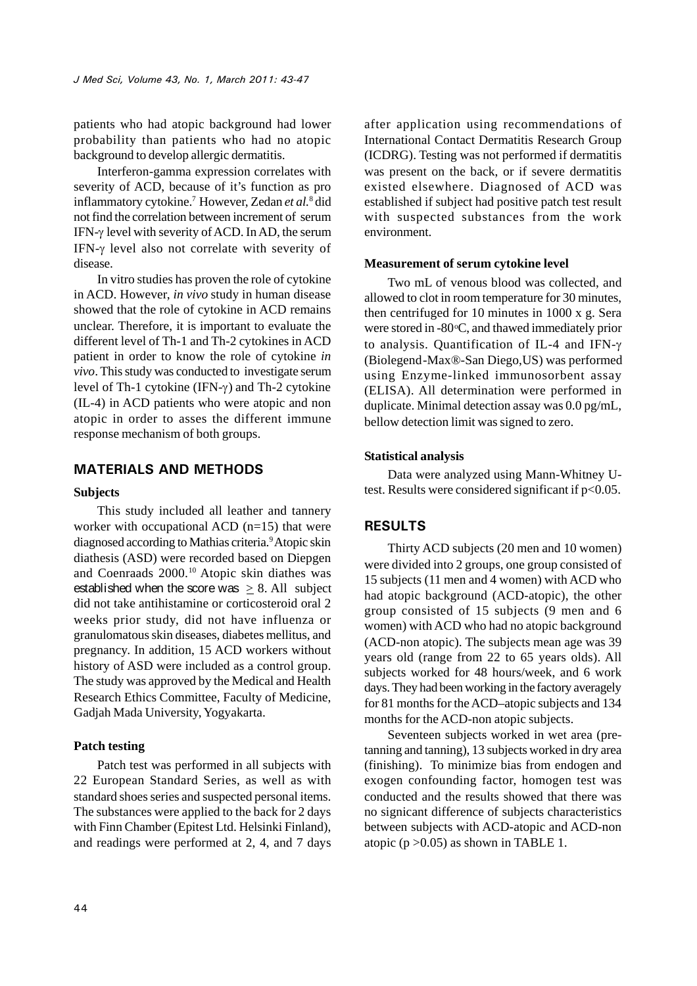patients who had atopic background had lower probability than patients who had no atopic background to develop allergic dermatitis.

Interferon-gamma expression correlates with severity of ACD, because of it's function as pro inflammatory cytokine.<sup>7</sup> However, Zedan *et al.*<sup>8</sup> did not find the correlation between increment of serum IFN- $\gamma$  level with severity of ACD. In AD, the serum IFN- $\gamma$  level also not correlate with severity of disease.

In vitro studies has proven the role of cytokine in ACD. However, *in vivo* study in human disease showed that the role of cytokine in ACD remains unclear. Therefore, it is important to evaluate the different level of Th-1 and Th-2 cytokines in ACD patient in order to know the role of cytokine *in vivo*. This study was conducted to investigate serum level of Th-1 cytokine (IFN- $\gamma$ ) and Th-2 cytokine (IL-4) in ACD patients who were atopic and non atopic in order to asses the different immune response mechanism of both groups.

## **MATERIALS AND METHODS**

### **Subjects**

This study included all leather and tannery worker with occupational ACD (n=15) that were diagnosed according to Mathias criteria.<sup>9</sup>Atopic skin diathesis (ASD) were recorded based on Diepgen and Coenraads 2000.<sup>10</sup> Atopic skin diathes was established when the score was  $> 8$ . All subject did not take antihistamine or corticosteroid oral 2 weeks prior study, did not have influenza or granulomatous skin diseases, diabetes mellitus, and pregnancy. In addition, 15 ACD workers without history of ASD were included as a control group. The study was approved by the Medical and Health Research Ethics Committee, Faculty of Medicine, Gadjah Mada University, Yogyakarta.

#### **Patch testing**

Patch test was performed in all subjects with 22 European Standard Series, as well as with standard shoes series and suspected personal items. The substances were applied to the back for 2 days with Finn Chamber (Epitest Ltd. Helsinki Finland), and readings were performed at 2, 4, and 7 days after application using recommendations of International Contact Dermatitis Research Group (ICDRG). Testing was not performed if dermatitis was present on the back, or if severe dermatitis existed elsewhere. Diagnosed of ACD was established if subject had positive patch test result with suspected substances from the work environment.

#### **Measurement of serum cytokine level**

Two mL of venous blood was collected, and allowed to clot in room temperature for 30 minutes, then centrifuged for 10 minutes in 1000 x g. Sera were stored in  $-80^{\circ}$ C, and thawed immediately prior to analysis. Quantification of IL-4 and IFN- (Biolegend-Max®-San Diego,US) was performed using Enzyme-linked immunosorbent assay (ELISA). All determination were performed in duplicate. Minimal detection assay was 0.0 pg/mL, bellow detection limit was signed to zero.

#### **Statistical analysis**

Data were analyzed using Mann-Whitney Utest. Results were considered significant if  $p<0.05$ .

## **RESULTS**

Thirty ACD subjects (20 men and 10 women) were divided into 2 groups, one group consisted of 15 subjects (11 men and 4 women) with ACD who had atopic background (ACD-atopic), the other group consisted of 15 subjects (9 men and 6 women) with ACD who had no atopic background (ACD-non atopic). The subjects mean age was 39 years old (range from 22 to 65 years olds). All subjects worked for 48 hours/week, and 6 work days. They had been working in the factory averagely for 81 months for theACD–atopic subjects and 134 months for the ACD-non atopic subjects.

Seventeen subjects worked in wet area (pretanning and tanning), 13 subjects worked in dry area (finishing). To minimize bias from endogen and exogen confounding factor, homogen test was conducted and the results showed that there was no signicant difference of subjects characteristics between subjects with ACD-atopic and ACD-non atopic ( $p > 0.05$ ) as shown in TABLE 1.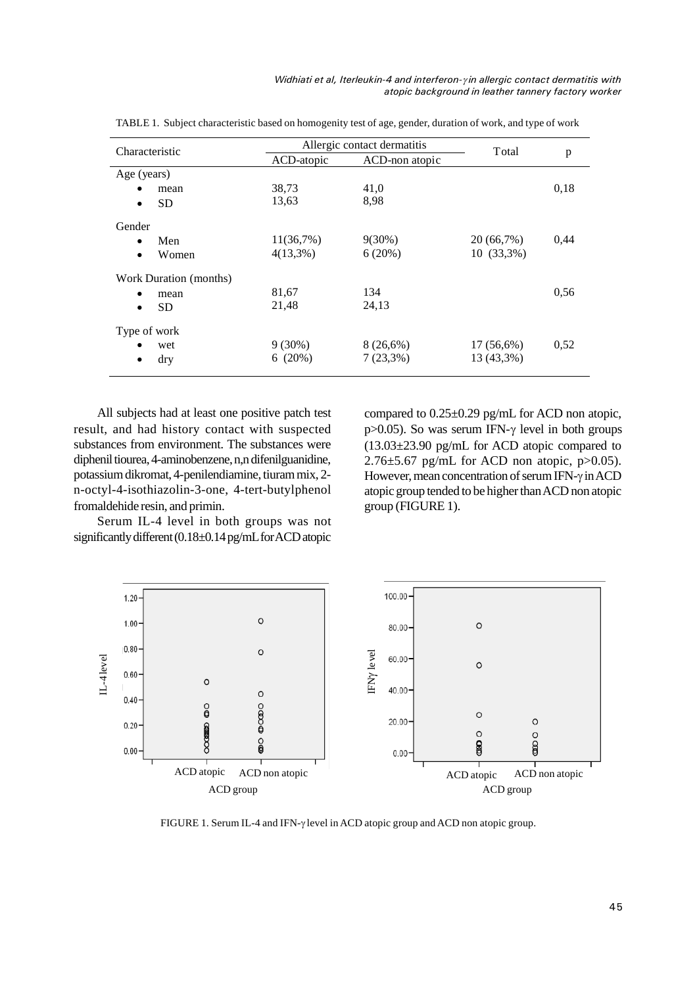| Characteristic         | Allergic contact dermatitis |                | Total        |      |
|------------------------|-----------------------------|----------------|--------------|------|
|                        | ACD-atopic                  | ACD-non atopic |              | p    |
| Age (years)            |                             |                |              |      |
| mean<br>٠              | 38,73                       | 41,0           |              | 0,18 |
| <b>SD</b><br>$\bullet$ | 13,63                       | 8,98           |              |      |
| Gender                 |                             |                |              |      |
| Men<br>$\bullet$       | 11(36,7%)                   | $9(30\%)$      | 20 (66,7%)   | 0,44 |
| Women<br>$\bullet$     | $4(13,3\%)$                 | 6(20%)         | $10(33,3\%)$ |      |
| Work Duration (months) |                             |                |              |      |
| mean<br>$\bullet$      | 81,67                       | 134            |              | 0.56 |
| <b>SD</b><br>$\bullet$ | 21,48                       | 24,13          |              |      |
| Type of work           |                             |                |              |      |
| wet                    | $9(30\%)$                   | $8(26,6\%)$    | $17(56,6\%)$ | 0,52 |
| dry<br>$\bullet$       | 6(20%)                      | $7(23,3\%)$    | 13 (43,3%)   |      |

TABLE 1. Subject characteristic based on homogenity test of age, gender, duration of work, and type of work

All subjects had at least one positive patch test result, and had history contact with suspected substances from environment. The substances were diphenil tiourea, 4-aminobenzene, n,n difenilguanidine, potassium dikromat, 4-penilendiamine, tiurammix, 2 n-octyl-4-isothiazolin-3-one, 4-tert-butylphenol fromaldehide resin, and primin.

Serum IL-4 level in both groups was not significantly different (0.18±0.14 pg/mL for ACD atopic

compared to 0.25±0.29 pg/mL for ACD non atopic, p $>0.05$ ). So was serum IFN- $\gamma$  level in both groups (13.03±23.90 pg/mL for ACD atopic compared to  $2.76\pm5.67$  pg/mL for ACD non atopic, p $>0.05$ ). However, mean concentration of serum IFN- $\gamma$  in ACD atopic group tended to be higher thanACD non atopic group (FIGURE 1).



FIGURE 1. Serum IL-4 and IFN- $\gamma$  level in ACD atopic group and ACD non atopic group.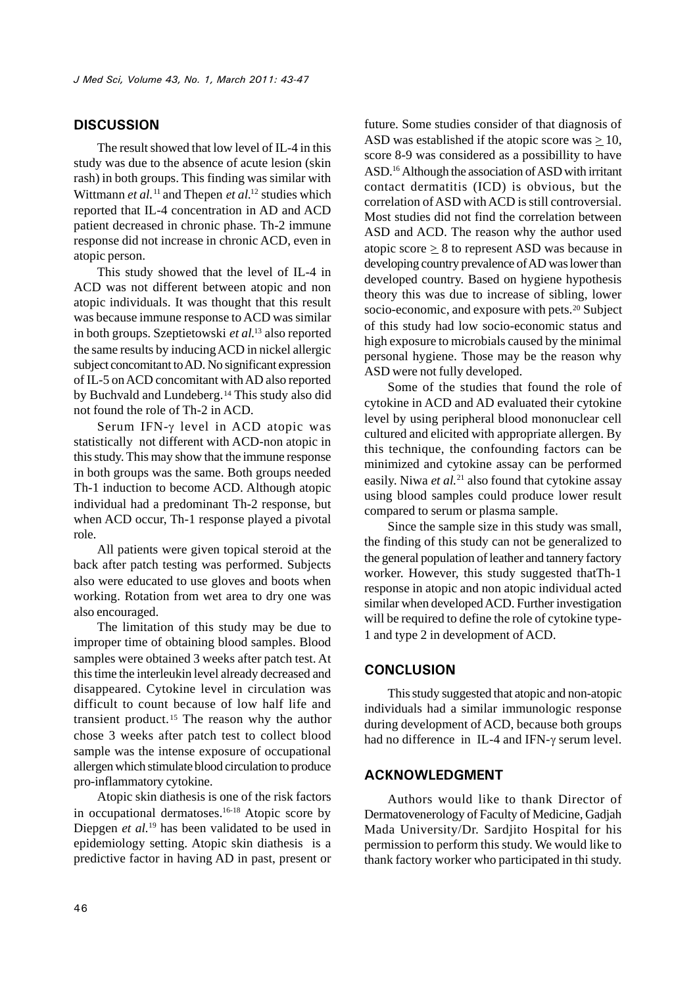## **DISCUSSION**

The result showed that low level of IL-4 in this study was due to the absence of acute lesion (skin rash) in both groups. This finding was similar with Wittmann *et al.*<sup>11</sup> and Thepen *et al.*<sup>12</sup> studies which reported that IL-4 concentration in AD and ACD patient decreased in chronic phase. Th-2 immune response did not increase in chronic ACD, even in atopic person.

This study showed that the level of IL-4 in ACD was not different between atopic and non atopic individuals. It was thought that this result was because immune response to ACD was similar in both groups. Szeptietowski *et al.*<sup>13</sup> also reported the same results by inducingACD in nickel allergic subject concomitant toAD. No significant expression of IL-5 onACD concomitant with AD also reported by Buchvald and Lundeberg.<sup>14</sup> This study also did not found the role of Th-2 in ACD.

Serum IFN- $\gamma$  level in ACD atopic was statistically not different with ACD-non atopic in this study. This may show that the immune response in both groups was the same. Both groups needed Th-1 induction to become ACD. Although atopic individual had a predominant Th-2 response, but when ACD occur, Th-1 response played a pivotal role.

All patients were given topical steroid at the back after patch testing was performed. Subjects also were educated to use gloves and boots when working. Rotation from wet area to dry one was also encouraged.

The limitation of this study may be due to improper time of obtaining blood samples. Blood samples were obtained 3 weeks after patch test. At this time the interleukin level already decreased and disappeared. Cytokine level in circulation was difficult to count because of low half life and transient product.<sup>15</sup> The reason why the author chose 3 weeks after patch test to collect blood sample was the intense exposure of occupational allergen which stimulate blood circulation to produce pro-inflammatory cytokine.

Atopic skin diathesis is one of the risk factors in occupational dermatoses.16-18 Atopic score by Diepgen *et al.*<sup>19</sup> has been validated to be used in epidemiology setting. Atopic skin diathesis is a predictive factor in having AD in past, present or

future. Some studies consider of that diagnosis of ASD was established if the atopic score was  $\geq$  10, score 8-9 was considered as a possibillity to have ASD.<sup>16</sup> Although the association of ASD with irritant contact dermatitis (ICD) is obvious, but the correlation of ASD with ACD is still controversial. Most studies did not find the correlation between ASD and ACD. The reason why the author used atopic score  $\geq 8$  to represent ASD was because in developing country prevalence of AD was lower than developed country. Based on hygiene hypothesis theory this was due to increase of sibling, lower socio-economic, and exposure with pets.<sup>20</sup> Subject of this study had low socio-economic status and high exposure to microbials caused by the minimal personal hygiene. Those may be the reason why ASD were not fully developed.

Some of the studies that found the role of cytokine in ACD and AD evaluated their cytokine level by using peripheral blood mononuclear cell cultured and elicited with appropriate allergen. By this technique, the confounding factors can be minimized and cytokine assay can be performed easily. Niwa *et al.*<sup>21</sup> also found that cytokine assay using blood samples could produce lower result compared to serum or plasma sample.

Since the sample size in this study was small, the finding of this study can not be generalized to the general population of leather and tannery factory worker. However, this study suggested thatTh-1 response in atopic and non atopic individual acted similar when developedACD. Further investigation will be required to define the role of cytokine type-1 and type 2 in development of ACD.

## **CONCLUSION**

This study suggested that atopic and non-atopic individuals had a similar immunologic response during development of ACD, because both groups had no difference in IL-4 and IFN- $\gamma$  serum level.

## **ACKNOWLEDGMENT**

Authors would like to thank Director of Dermatovenerology of Faculty of Medicine, Gadjah Mada University/Dr. Sardjito Hospital for his permission to perform this study. We would like to thank factory worker who participated in thi study.